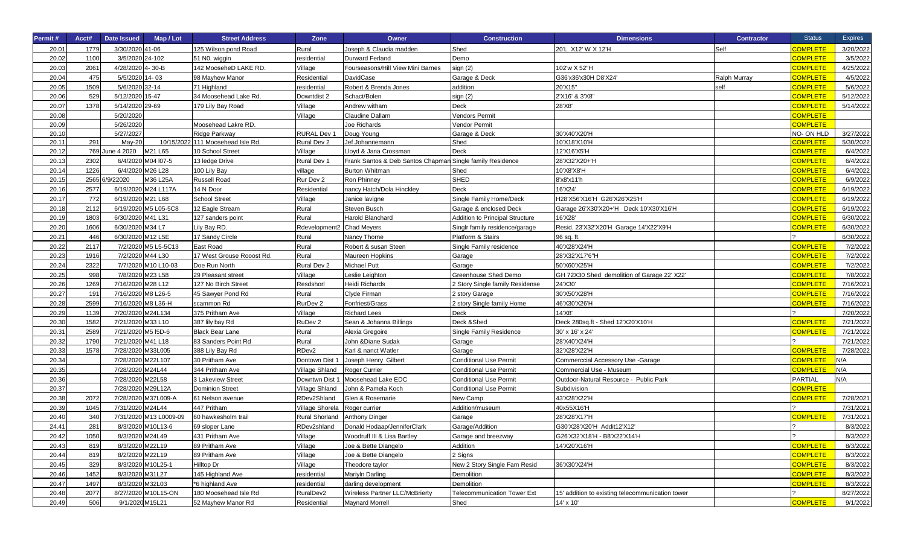| Permit# | Acct# | Date Issued        | Map / Lot              | <b>Street Address</b>             | Zone               | Owner                                                     | <b>Construction</b>                    | <b>Dimensions</b>                                | <b>Contractor</b> | <b>Status</b>   | <b>Expires</b> |
|---------|-------|--------------------|------------------------|-----------------------------------|--------------------|-----------------------------------------------------------|----------------------------------------|--------------------------------------------------|-------------------|-----------------|----------------|
| 20.01   | 1779  | 3/30/2020 41-06    |                        | 125 Wilson pond Road              | Rural              | Joseph & Claudia madden                                   | Shed                                   | 20'L X12' W X 12'H                               | Self              | <b>COMPLETE</b> | 3/20/2022      |
| 20.02   | 1100  | 3/5/2020 24-102    |                        | 51 N <sub>0</sub> . wiggin        | residential        | Durward Ferland                                           | Demo                                   |                                                  |                   | <b>COMPLETE</b> | 3/5/2022       |
| 20.03   | 2061  | 4/28/2020 4-30-B   |                        | 142 MooseheD LAKE RD.             | Village            | Fourseasons/Hill View Mini Barnes                         | sign (2)                               | 102'w X 52"H                                     |                   | <b>COMPLETE</b> | 4/25/2022      |
| 20.04   | 475   | 5/5/2020 14-03     |                        | 98 Mayhew Manor                   | Residential        | DavidCase                                                 | Garage & Deck                          | G36'x36'x30H D8'X24'                             | Ralph Murray      | <b>COMPLETE</b> | 4/5/2022       |
| 20.05   | 1509  | 5/6/2020 32-14     |                        | 71 Highland                       | residential        | Robert & Brenda Jones                                     | addition                               | 20'X15"                                          | self              | <b>COMPLETE</b> | 5/6/2022       |
| 20.06   | 529   | 5/12/2020 15-47    |                        | 34 Moosehead Lake Rd.             | Downtdist 2        | Schact/Bolen                                              | sign (2)                               | 2'X16' & 3'X8"                                   |                   | <b>COMPLETE</b> | 5/12/2022      |
| 20.07   | 1378  | 5/14/2020 29-69    |                        | 179 Lily Bay Road                 | Village            | Andrew witham                                             | Deck                                   | 28'X8'                                           |                   | <b>COMPLETE</b> | 5/14/2022      |
| 20.08   |       | 5/20/2020          |                        |                                   | Village            | Claudine Dallam                                           | Vendors Permit                         |                                                  |                   | <b>COMPLETE</b> |                |
| 20.09   |       | 5/26/2020          |                        | Moosehead Lakre RD.               |                    | Joe Richards                                              | Vendor Permit                          |                                                  |                   | <b>COMPLETE</b> |                |
| 20.10   |       | 5/27/2027          |                        | Ridge Parkway                     | <b>RURAL Dev 1</b> | Doug Young                                                | Garage & Deck                          | 30'X40'X20'H                                     |                   | NO-ON HLD       | 3/27/2022      |
| 20.11   | 291   | <b>May-20</b>      |                        | 10/15/2022 111 Moosehead Isle Rd. | Rural Dev 2        | Jef Johannemann                                           | Shed                                   | 10'X18'X10'H                                     |                   | <b>COMPLETE</b> | 5/30/2022      |
| 20.12   |       | 769 June 4 2020    | M21 L65                | 10 School Street                  | Village            | Lloyd & Jana Crossman                                     | Deck                                   | 12'X16'X5'H                                      |                   | <b>COMPLETE</b> | 6/4/2022       |
| 20.13   | 2302  |                    | 6/4/2020 M04 l07-5     | 13 ledge Drive                    | Rural Dev 1        | Frank Santos & Deb Santos Chapman Single family Residence |                                        | 28'X32'X20+'H                                    |                   | <b>COMPLETE</b> | 6/4/2022       |
| 20.14   | 1226  |                    | 6/4/2020 M26 L28       | 100 Lily Bay                      | village            | <b>Burton Whitman</b>                                     | Shed                                   | 10'X8'X8'H                                       |                   | <b>COMPLETE</b> | 6/4/2022       |
| 20.15   | 2565  | 6/9/22020          | M36 L25A               | <b>Russell Road</b>               | Rur Dev 2          | Ron Phinney                                               | <b>SHED</b>                            | 8'x8'x11'h                                       |                   | <b>COMPLETE</b> | 6/9/2022       |
| 20.16   | 2577  |                    | 6/19/2020 M24 L117A    | 14 N Door                         | Residential        | nancy Hatch/Dola Hinckley                                 | <b>Deck</b>                            | 16'X24'                                          |                   | <b>COMPLETE</b> | 6/19/2022      |
| 20.17   | 772   | 6/19/2020 M21 L68  |                        | <b>School Street</b>              | Village            | Janice lavigne                                            | Single Family Home/Deck                | H28'X56'X16'H G26'X26'X25'H                      |                   | <b>COMPLETE</b> | 6/19/2022      |
| 20.18   | 2112  |                    | 6/19/2020 M5 L05-5C8   | 12 Eagle Stream                   | Rural              | Steven Busch                                              | Garage & enclosed Deck                 | Garage 26'X30'X20+'H Deck 10'X30'X16'H           |                   | <b>COMPLETE</b> | 6/19/2022      |
| 20.19   | 1803  | 6/30/2020 M41 L31  |                        | 127 sanders point                 | Rural              | Harold Blanchard                                          | <b>Addition to Principal Structure</b> | 16'X28'                                          |                   | <b>COMPLETE</b> | 6/30/2022      |
| 20.20   | 1606  | 6/30/2020 M34 L7   |                        | Lily Bay RD.                      | Rdevelopment2      | <b>Chad Meyers</b>                                        | Singlr family residence/garage         | Resid. 23'X32'X20'H Garage 14'X22'X9'H           |                   | <b>COMPLETE</b> | 6/30/2022      |
| 20.21   | 446   | 6/30/2020 M12 L5E  |                        | 17 Sandy Circle                   | Rural              | Nancy Thorne                                              | Platform & Stairs                      | 96 sq. ft.                                       |                   |                 | 6/30/2022      |
| 20.22   | 2117  |                    | 7/2/2020 M5 L5-5C13    | <b>East Road</b>                  | Rural              | Robert & susan Steen                                      | Single Family residence                | 40'X28'X24'H                                     |                   | <b>COMPLETE</b> | 7/2/2022       |
| 20.23   | 1916  |                    | 7/2/2020 M44 L30       | 17 West Grouse Rooost Rd.         | Rural              | Maureen Hopkins                                           | Garage                                 | 28'X32'X17'6"H                                   |                   | <b>COMPLETE</b> | 7/2/2022       |
| 20.24   | 2322  |                    | 7/7/2020 M10 L10-03    | Doe Run North                     | Rural Dev 2        | Michael Putt                                              | Garage                                 | 50'X60'X25'H                                     |                   | <b>COMPLETE</b> | 7/2/2022       |
| 20.25   | 998   |                    | 7/8/2020 M23 L58       | 29 Pleasant street                | Village            | Leslie Leighton                                           | Greenhouse Shed Demo                   | GH 72X30 Shed demolition of Garage 22' X22'      |                   | <b>COMPLETE</b> | 7/8/2022       |
| 20.26   | 1269  | 7/16/2020 M28 L12  |                        | 127 No Birch Street               | Resdshorl          | <b>Heidi Richards</b>                                     | 2 Story Single family Residense        | 24'X30'                                          |                   | <b>COMPLETE</b> | 7/16/2021      |
| 20.27   | 191   | 7/16/2020 M8 L26-5 |                        | 45 Sawyer Pond Rd                 | Rural              | Clyde Firman                                              | 2 story Garage                         | 30'X50'X28'H                                     |                   | <b>COMPLETE</b> | 7/16/2022      |
| 20.28   | 2599  |                    | 7/16/2020 M8 L36-H     | scammon Rd                        | RurDev 2           | Fonfriest/Grass                                           | 2 story Single family Home             | 46'X30'X26'H                                     |                   | <b>COMPLETE</b> | 7/16/2022      |
| 20.29   | 1139  | 7/20/2020 M24L134  |                        | 375 Pritham Ave                   | Village            | <b>Richard Lees</b>                                       | Deck                                   | 14'X8'                                           |                   |                 | 7/20/2022      |
| 20.30   | 1582  | 7/21/2020 M33 L10  |                        | 387 lily bay Rd                   | RuDev 2            | Sean & Johanna Billings                                   | Deck & Shed                            | Deck 280sq.ft - Shed 12'X20'X10'H                |                   | <b>COMPLETE</b> | 7/21/2022      |
| 20.31   | 2589  | 7/21/2020 M5 I5D-6 |                        | <b>Black Bear Lane</b>            | Rural              | Alexia Gregoire                                           | Single Family Residence                | 30' x 16' x 24'                                  |                   | <b>COMPLETE</b> | 7/21/2022      |
| 20.32   | 1790  | 7/21/2020 M41 L18  |                        | 83 Sanders Point Rd               | Rural              | John & Diane Sudak                                        | Garage                                 | 28'X40'X24'H                                     |                   |                 | 7/21/2022      |
| 20.33   | 1578  | 7/28/2020 M33L005  |                        | 388 Lily Bay Rd                   | RDev2              | Karl & nanct Watler                                       | Garage                                 | 32'X28'X22'H                                     |                   | <b>COMPLETE</b> | 7/28/2022      |
| 20.34   |       | 7/28/2020 M22L107  |                        | 30 Pritham Ave                    | Dontown Dist 1     | Joseph Henry Gilbert                                      | <b>Conditional Use Permit</b>          | Commerccial Accessory Use -Garage                |                   | <b>COMPLETE</b> | N/A            |
| 20.35   |       | 7/28/2020 M24L44   |                        | 344 Pritham Ave                   | Village Shland     | Roger Currier                                             | <b>Conditional Use Permit</b>          | Commercial Use - Museum                          |                   | <b>COMPLETE</b> | N/A            |
| 20.36   |       | 7/28/2020 M22L58   |                        | 3 Lakeview Street                 | Downtwn Dist 1     | Moosehead Lake EDC                                        | <b>Conditional Use Permit</b>          | Outdoor-Natural Resource - Public Park           |                   | PARTIAL         | N/A            |
| 20.37   |       | 7/28/2020 M29L12A  |                        | <b>Dominion Street</b>            | Village Shland     | John & Pamela Koch                                        | Conditional Use Permit                 | Subdivision                                      |                   | <b>COMPLETE</b> |                |
| 20.38   | 2072  |                    | 7/28/2020 M37L009-A    | 61 Nelson avenue                  | RDev2Shland        | Glen & Rosemarie                                          | New Camp                               | 43'X28'X22'H                                     |                   | <b>COMPLETE</b> | 7/28/2021      |
| 20.39   | 1045  | 7/31/2020 M24L44   |                        | 447 Pritham                       | Village Shorela    | Roger currier                                             | Addition/museum                        | 40x55X16'H                                       |                   |                 | 7/31/2021      |
| 20.40   | 340   |                    | 7/31/2020 M13 L0009-09 | 60 hawkesholm trail               | Rural Shorland     | Anthony Dinger                                            | Garage                                 | 28'X28'X17'H                                     |                   | <b>COMPLETE</b> | 7/31/2021      |
| 24.41   | 281   |                    | 8/3/2020 M10L13-6      | 69 sloper Lane                    | RDev2shland        | Donald Hodaap/JenniferClark                               | Garage/Addition                        | G30'X28'X20'H Addit12'X12'                       |                   |                 | 8/3/2022       |
| 20.42   | 1050  | 8/3/2020 M24L49    |                        | 431 Pritham Ave                   | Village            | Woodruff III & Lisa Bartley                               | Garage and breezway                    | G26'X32'X18'H - B8'X22'X14'H                     |                   |                 | 8/3/2022       |
| 20.43   | 819   | 8/3/2020 M22L19    |                        | 89 Pritham Ave                    | Village            | Joe & Bette Diangelo                                      | Addition                               | 14'X20'X16'H                                     |                   | <b>COMPLETE</b> | 8/3/2022       |
| 20.44   | 819   | 8/2/2020 M22L19    |                        | 89 Pritham Ave                    | Village            | Joe & Bette Diangelo                                      | 2 Signs                                |                                                  |                   | <b>COMPLETE</b> | 8/3/2022       |
| 20.45   | 329   |                    | 8/3/2020 M10L25-1      | Hilltop Dr                        | Village            | Theodore taylor                                           | New 2 Story Single Fam Resid           | 36'X30'X24'H                                     |                   | <b>COMPLETE</b> | 8/3/2022       |
| 20.46   | 1452  | 8/3/2020 M31L27    |                        | 145 Highland Ave                  | residential        | Mariyln Darling                                           | Demolition                             |                                                  |                   | <b>COMPLETE</b> | 8/3/2022       |
| 20.47   | 1497  | 8/3/2020 M32L03    |                        | *6 highland Ave                   | residential        | darling development                                       | Demolition                             |                                                  |                   | <b>COMPLETE</b> | 8/3/2022       |
| 20.48   | 2077  |                    | 8/27/2020 M10L15-ON    | 180 Moosehead Isle Rd             | RuralDev2          | Wireless Partner LLC/McBrierty                            | <b>Telecommunication Tower Ext</b>     | 15' addition to existing telecommunication tower |                   |                 | 8/27/2022      |
| 20.49   | 506   | 9/1/2020 M15L21    |                        | 52 Mayhew Manor Rd                | Residential        | <b>Maynard Morrell</b>                                    | Shed                                   | 14' x 10'                                        |                   | <b>COMPLETE</b> | 9/1/2022       |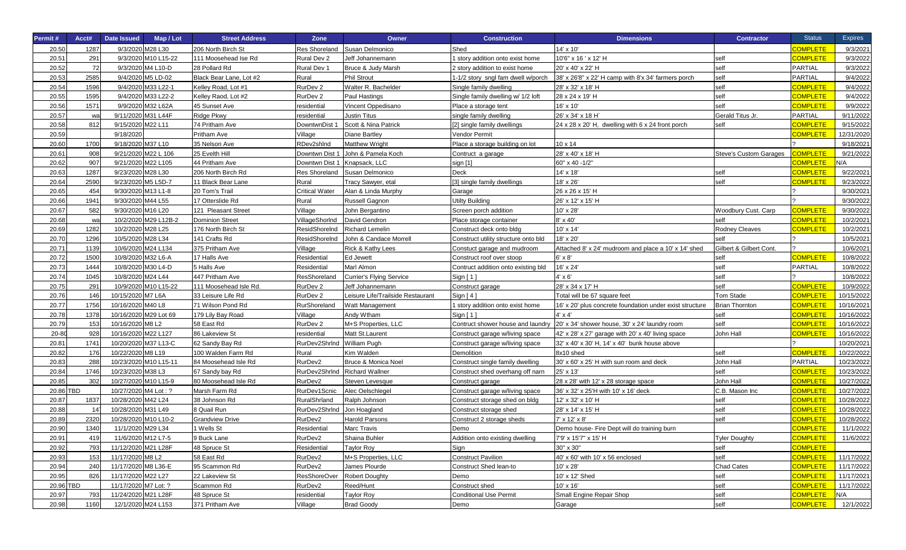| Permit#   | Acct# | <b>Date Issued</b>   | Map / Lot             | <b>Street Address</b>   | Zone                       | Owner                             | <b>Construction</b>                  | <b>Dimensions</b>                                        | <b>Contractor</b>             | <b>Status</b>   | <b>Expires</b> |
|-----------|-------|----------------------|-----------------------|-------------------------|----------------------------|-----------------------------------|--------------------------------------|----------------------------------------------------------|-------------------------------|-----------------|----------------|
| 20.50     | 1287  |                      | 9/3/2020 M28 L30      | 206 North Birch St      | <b>Res Shoreland</b>       | Susan Delmonico                   | Shed                                 | 14' x 10'                                                |                               | <b>COMPLETE</b> | 9/3/2021       |
| 20.51     | 291   |                      | 9/3/2020 M10 L15-22   | 111 Moosehead Ise Rd    | Rural Dev 2                | Jeff Johannemann                  | story addition onto exist home       | 10'6" x 16 ' x 12' H                                     | self                          | <b>COMPLETE</b> | 9/3/2022       |
| 20.52     | 72    |                      | 9/3/2020 M4 L10-D     | 28 Pollard Rd           | Rural Dev 1                | Bruce & Judy Marsh                | 2 story addition to exist home       | 20' x 40' x 22' H                                        | self                          | <b>PARTIAL</b>  | 9/3/2022       |
| 20.53     | 2585  |                      | 9/4/2020 M5 LD-02     | Black Bear Lane, Lot #2 | Rural                      | <b>Phil Strout</b>                | 1-1/2 story sngl fam dwell w/porch   | 38' x 26'8" x 22' H camp with 8'x 34' farmers porch      | self                          | <b>PARTIAL</b>  | 9/4/2022       |
| 20.54     | 1596  | 9/4/2020             | 033 L22-1             | Kelley Road, Lot #1     | RurDev <sub>2</sub>        | Walter R. Bachelder               | Single family dwelling               | 28' x 32' x 18' H                                        | self                          | <b>COMPLETE</b> | 9/4/2022       |
| 20.55     | 1595  | 9/4/2020             | 033 L22-2             | Kelley Raod, Lot #2     | RurDev 2                   | Paul Hastings                     | Single family dwelling w/ 1/2 loft   | 28 x 24 x 19' H                                          | self                          | <b>COMPLETE</b> | 9/4/2022       |
| 20.56     | 1571  |                      | 9/9/2020 M32 L62A     | 45 Sunset Ave           | residential                | Vincent Oppedisano                | Place a storage tent                 | 16' x 10'                                                | self                          | <b>COMPLETE</b> | 9/9/2022       |
| 20.57     | Wa    |                      | 9/11/2020 M31 L44F    | <b>Ridge Pkwy</b>       | residential                | Justin Titus                      | single family dwelling               | 26' x 34' x 18 H                                         | Gerald Titus Jr.              | <b>PARTIAL</b>  | 9/11/2022      |
| 20.58     | 812   | 9/15/2020 M22 L11    |                       | 74 Pritham Ave          | DowntwnDist                | Scott & Nina Patrick              | [2] single family dwellings          | 24 x 28 x 20' H, dwelling with 6 x 24 front porch        | self                          | <b>COMPLETE</b> | 9/15/2022      |
| 20.59     |       | 9/18/2020            |                       | Pritham Ave             | Village                    | <b>Diane Bartley</b>              | √endor Permit                        |                                                          |                               | <b>COMPLETE</b> | 12/31/2020     |
| 20.60     | 1700  | 9/18/2020 M37 L10    |                       | 35 Nelson Ave           | RDev2shind                 | Matthew Wright                    | Place a storage building on lot      | 10 x 14                                                  |                               |                 | 9/18/2021      |
| 20.61     | 908   |                      | 9/21/2020 M22 L 106   | 25 Evelth Hill          | Downtwn Dist               | John & Pamela Koch                | Contruct a garage                    | 28' x 40' x 18' H                                        | <b>Steve's Custom Garages</b> | <b>COMPLETE</b> | 9/21/2022      |
| 20.62     | 907   |                      | 9/21/2020 M22 L105    | 44 Pritham Ave          | Downtwn Dist               | Knapsack, LLC                     | sign [1]                             | 60" x 40 -1/2"                                           |                               | <b>COMPLETE</b> | <b>A/V</b>     |
| 20.63     | 1287  | 9/23/2020 M28 L30    |                       | 206 North Birch Rd      | <b>Res Shoreland</b>       | Susan Delmonico                   | <b>Deck</b>                          | 14' x 18'                                                | self                          | <b>COMPLETE</b> | 9/22/2021      |
| 20.64     | 2590  |                      | 9/23/2020 M5 L5D-7    | 11 Black Bear Lane      | Rural                      | Tracy Sawyer, etal                | [3] single family dwellings          | 18' x 26'                                                | self                          | <b>COMPLETE</b> | 9/23/2022      |
| 20.65     | 454   |                      | 9/30/2020 M13 L1-8    | 20 Tom's Trail          | <b>Critical Water</b>      | Alan & Linda Murphy               | Garage                               | 26 x 26 x 15' H                                          |                               |                 | 9/30/2021      |
| 20.66     | 1941  | 9/30/2020 M44 L55    |                       | 17 Otterslide Rd        | Rural                      | Russell Gagnon                    | Utilty Building                      | 26' x 12' x 15' H                                        |                               |                 | 9/30/2022      |
| 20.67     | 582   | 9/30/2020 M16 L20    |                       | 121 Pleasant Street     | Village                    | John Bergantino                   | Screen porch addition                | 10' x 28'                                                | Woodbury Cust. Carp           | <b>COMPLETE</b> | 9/30/2022      |
| 20.68     | Wε    |                      | 10/2/2020 M29 L12B-2  | <b>Dominion Street</b>  | VillageShorInd             | David Gendron                     | Place storage container              | 8' x 40'                                                 | self                          | <b>COMPLETE</b> | 10/2/2021      |
| 20.69     | 1282  | 10/2/2020 M28 L25    |                       | 176 North Birch St      | ResidShoreInd              | <b>Richard Lemelin</b>            | Construct deck onto bldg             | 10' x 14'                                                | <b>Rodney Cleaves</b>         | <b>COMPLETE</b> | 10/2/2021      |
| 20.70     | 1296  | 10/5/2020 M28 L34    |                       | 141 Crafts Rd           | ResidShoreInd              | John & Candace Morrell            | Construct utility structure onto bld | 18' x 20'                                                | self                          |                 | 10/5/2021      |
| 20.71     | 1139  |                      | 10/6/2020 M24 L134    | 375 Pritham Ave         | Village                    | Rick & Kathy Lees                 | Constuct garage and mudroom          | Attached 8' x 24' mudroom and place a 10' x 14' shed     | Gilbert & Gilbert Cont.       |                 | 10/6/2021      |
| 20.72     | 1500  | 10/8/2020            | M32 L6-A              | 17 Halls Ave            | Residential                | Ed Jewett                         | Construct roof over stoop            | $6' \times 8'$                                           | self                          | <b>COMPLETE</b> | 10/8/2022      |
| 20.73     | 1444  |                      | 10/8/2020 M30 L4-D    | 5 Halls Ave             | Residential                | Marl Almon                        | Contruct addition onto existing bld  | 16' x 24'                                                | self                          | <b>PARTIAL</b>  | 10/8/2022      |
| 20.74     | 1045  | 10/8/2020 M24 L44    |                       | 447 Pritham Ave         | ResShoreland               | <b>Currier's Flying Service</b>   | Sign $[1]$                           | $4' \times 6'$                                           | self                          |                 | 10/8/2022      |
| 20.75     | 291   |                      | 10/9/2020 M10 L15-22  | 111 Moosehead Isle Rd.  | RurDev <sub>2</sub>        | Jeff Johannemann                  | Construct garage                     | 28' x 34 x 17' H                                         | self                          | <b>COMPLETE</b> | 10/9/2022      |
| 20.76     | 146   | 10/15/2020 M7 L6A    |                       | 33 Leisure Life Rd      | RurDev 2                   | Leisure Life/Trailside Restaurant | Sign $\lceil 4 \rceil$               | Total will be 67 square feet                             | Tom Stade                     | <b>COMPLETE</b> | 10/15/2022     |
| 20.77     | 1756  | 10/16/2020 M40 L8    |                       | 71 Wilson Pond Rd       | RurShoreland               | Watt Management                   | story addition onto exist home       | 16' x 20' plus concrete foundation under exist structure | <b>Brian Thornton</b>         | <b>COMPLETE</b> | 10/16/2021     |
| 20.78     | 1378  |                      | 10/16/2020 M29 Lot 69 | 179 Lily Bay Road       | Village                    | Andy Wtham                        | Sign [1]                             | $4' \times 4'$                                           | self                          | <b>COMPLETE</b> | 10/16/2022     |
| 20.79     | 153   | 10/16/2020 M8 L2     |                       | 58 East Rd              | RurDev <sub>2</sub>        | M+S Properties, LLC               | Contruct shower house and laundry    | 20' x 34' shower house, 30' x 24' laundry room           | self                          | <b>COMPLETE</b> | 10/16/2022     |
| $20 - 80$ | 928   | 10/16/2020 M22 L127  |                       | 86 Lakeview St          | residential                | Matt St.Laurent                   | Construct garage w/living space      | 42' x 28' x 27' garage with 20' x 40' living space       | John Hall                     | <b>COMPLETE</b> | 10/16/2022     |
| 20.81     | 1741  |                      | 10/20/2020 M37 L13-C  | 62 Sandy Bay Rd         | RurDev2ShrInd William Pugh |                                   | Construct garage w/living space      | 32' x 40' x 30' H, 14' x 40' bunk house above            |                               |                 | 10/20/2021     |
| 20.82     | 176   | 10/22/2020 M8 L19    |                       | 100 Walden Farm Rd      | Rural                      | Kim Walden                        | Demolition                           | 8x10 shed                                                | self                          | <b>COMPLETE</b> | 10/22/2022     |
| 20.83     | 288   |                      | 10/23/2020 M10 L15-11 | 84 Moosehead Isle Rd    | RurDev2                    | Bruce & Monica Noel               | Construct single family dwelling     | 30' x 60' x 25' H with sun room and deck                 | John Hall                     | <b>PARTIAL</b>  | 10/23/2022     |
| 20.84     | 1746  | 10/23/2020 M38 L3    |                       | 67 Sandy bay Rd         | RurDev2ShrInd              | <b>Richard Wallner</b>            | Construct shed overhang off narn     | 25' x 13'                                                | self                          | <b>COMPLETE</b> | 10/23/2022     |
| 20.85     | 302   |                      | 10/27/2020 M10 L15-9  | 80 Moosehead Isle Rd    | RurDev2                    | Steven Levesque                   | Construct garage                     | 28 x 28' with 12' x 28 storage space                     | John Hall                     | <b>COMPLETE</b> | 10/27/2022     |
| 20.86 TBD |       | 10/27/2020 M4 Lot: ? |                       | Marsh Farm Rd           | RurDev1Scnic               | Alec Oelschlegel                  | Construct garage w/living space      | 36' x 32' x 25'H with 10' x 16' deck                     | C.B. Mason Inc                | <b>COMPLETE</b> | 10/27/2022     |
| 20.87     | 1837  | 10/28/2020 M42 L24   |                       | 38 Johnson Rd           | RuralShrland               | Ralph Johnson                     | Construct storage shed on bldg       | 12' x 32' x 10' H                                        | self                          | <b>COMPLETE</b> | 10/28/2022     |
| 20.88     | -14   | 10/28/2020 M31 L49   |                       | 8 Quail Run             | RurDev2ShrInd              | Jon Hoagland                      | Construct storage shed               | 28' x 14' x 15' H                                        | self                          | <b>COMPLETE</b> | 10/28/2022     |
| 20.89     | 2320  | 10/28/2020           | M10 L10-2             | <b>Grandview Drive</b>  | RurDev2                    | <b>Harold Parsons</b>             | Construct 2 storage sheds            | $7' \times 12' \times 8'$                                | self                          | <b>COMPLETE</b> | 10/28/2022     |
| 20.90     | 1340  | 11/1/2020 M29 L34    |                       | 1 Wells St              | Residential                | Marc Travis                       | Demo                                 | Demo house- Fire Dept will do training burn              |                               | <b>COMPLETE</b> | 11/1/2022      |
| 20.91     | 419   | 11/6/2020 M12 L7-5   |                       | 9 Buck Lane             | RurDev2                    | Shaina Buhler                     | Addition onto existing dwelling      | 7'9' x 15'7" x 15' H                                     | <b>Tyler Doughty</b>          | <b>COMPLETE</b> | 11/6/2022      |
| 20.92     | 793   | 11/12/2020 M21 L28F  |                       | 48 Spruce St            | Residential                | <b>Taylor Roy</b>                 | Sign                                 | 30" x 30"                                                | self                          | <b>COMPLETE</b> |                |
| 20.93     | 153   | 11/17/2020 M8 L2     |                       | 58 East Rd              | RurDev2                    | M+S Properties, LLC               | <b>Construct Pavilion</b>            | 40' x 60' with 10' x 56 enclosed                         | self                          | <b>COMPLETE</b> | 11/17/2022     |
| 20.94     | 240   | 11/17/2020 M8 L36-E  |                       | 95 Scammon Rd           | RurDev2                    | James Plourde                     | Construct Shed lean-to               | 10' x 28'                                                | <b>Chad Cates</b>             | <b>COMPLETE</b> | 11/17/2022     |
| 20.95     | 826   | 11/17/2020 M22 L27   |                       | 22 Lakeview St          | ResShoreOver               | Robert Doughty                    | Demo                                 | 10' x 12' Shed                                           | self                          | <b>COMPLETE</b> | 11/17/2021     |
| 20.96 TBD |       | 11/17/2020 M7 Lot: ? |                       | Scammon Rd              | RurDev2                    | Reed/Hunt                         | Construct shed                       | 10' x 16'                                                | self                          | <b>COMPLETE</b> | 11/17/2022     |
| 20.97     | 793   | 11/24/2020 M21 L28F  |                       | 48 Spruce St            | residential                | Taylor Roy                        | <b>Conditional Use Permit</b>        | Small Engine Repair Shop                                 | self                          | <b>COMPLETE</b> | N/A            |
| 20.98     | 1160  |                      | 12/1/2020 M24 L153    | 371 Pritham Ave         | Village                    | <b>Brad Goody</b>                 | Demo                                 | Garage                                                   | self                          | <b>COMPLETE</b> | 12/1/2022      |